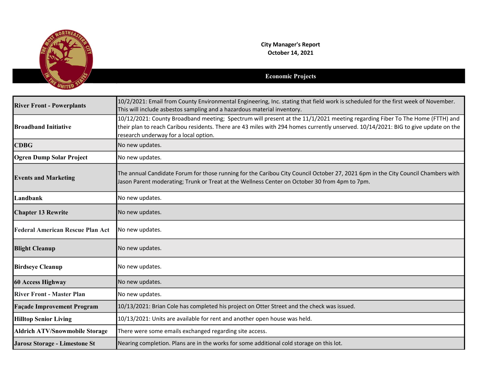

City Manager's Report October 14, 2021

## Economic Projects

| <b>River Front - Powerplants</b>        | 10/2/2021: Email from County Environmental Engineering, Inc. stating that field work is scheduled for the first week of November.<br>This will include asbestos sampling and a hazardous material inventory.                                                                                               |
|-----------------------------------------|------------------------------------------------------------------------------------------------------------------------------------------------------------------------------------------------------------------------------------------------------------------------------------------------------------|
| <b>Broadband Initiative</b>             | 10/12/2021: County Broadband meeting; Spectrum will present at the 11/1/2021 meeting regarding Fiber To The Home (FTTH) and<br>their plan to reach Caribou residents. There are 43 miles with 294 homes currently unserved. 10/14/2021: BIG to give update on the<br>research underway for a local option. |
| <b>CDBG</b>                             | No new updates.                                                                                                                                                                                                                                                                                            |
| <b>Ogren Dump Solar Project</b>         | No new updates.                                                                                                                                                                                                                                                                                            |
| <b>Events and Marketing</b>             | The annual Candidate Forum for those running for the Caribou City Council October 27, 2021 6pm in the City Council Chambers with<br>Jason Parent moderating; Trunk or Treat at the Wellness Center on October 30 from 4pm to 7pm.                                                                          |
| Landbank                                | No new updates.                                                                                                                                                                                                                                                                                            |
| <b>Chapter 13 Rewrite</b>               | No new updates.                                                                                                                                                                                                                                                                                            |
| <b>Federal American Rescue Plan Act</b> | No new updates.                                                                                                                                                                                                                                                                                            |
| <b>Blight Cleanup</b>                   | No new updates.                                                                                                                                                                                                                                                                                            |
| <b>Birdseye Cleanup</b>                 | No new updates.                                                                                                                                                                                                                                                                                            |
| <b>60 Access Highway</b>                | No new updates.                                                                                                                                                                                                                                                                                            |
| <b>River Front - Master Plan</b>        | No new updates.                                                                                                                                                                                                                                                                                            |
| <b>Façade Improvement Program</b>       | 10/13/2021: Brian Cole has completed his project on Otter Street and the check was issued.                                                                                                                                                                                                                 |
| <b>Hilltop Senior Living</b>            | 10/13/2021: Units are available for rent and another open house was held.                                                                                                                                                                                                                                  |
| <b>Aldrich ATV/Snowmobile Storage</b>   | There were some emails exchanged regarding site access.                                                                                                                                                                                                                                                    |
| <b>Jarosz Storage - Limestone St</b>    | Nearing completion. Plans are in the works for some additional cold storage on this lot.                                                                                                                                                                                                                   |